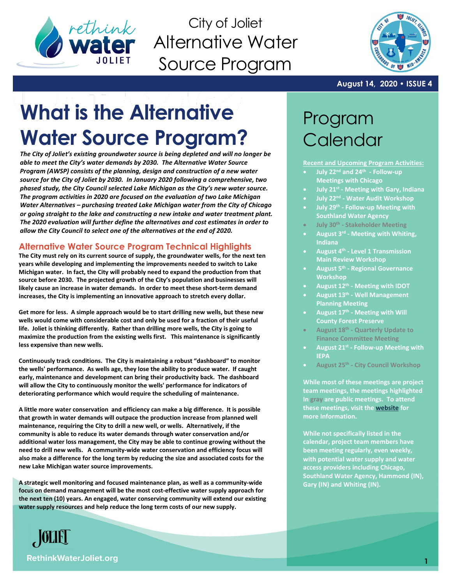

City of Joliet Alternative Water Source Program



### **August 14, 2020 • ISSUE 4**

# **What is the Alternative Water Source Program?**

*The City of Joliet's existing groundwater source is being depleted and will no longer be able to meet the City's water demands by 2030. The Alternative Water Source Program (AWSP) consists of the planning, design and construction of a new water source for the City of Joliet by 2030. In January 2020 following a comprehensive, two phased study, the City Council selected Lake Michigan as the City's new water source. The program activities in 2020 are focused on the evaluation of two Lake Michigan Water Alternatives – purchasing treated Lake Michigan water from the City of Chicago or going straight to the lake and constructing a new intake and water treatment plant. The 2020 evaluation will further define the alternatives and cost estimates in order to allow the City Council to select one of the alternatives at the end of 2020.* 

# **Alternative Water Source Program Technical Highlights**

**The City must rely on its current source of supply, the groundwater wells, for the next ten years while developing and implementing the improvements needed to switch to Lake Michigan water. In fact, the City will probably need to expand the production from that source before 2030. The projected growth of the City's population and businesses will likely cause an increase in water demands. In order to meet these short-term demand increases, the City is implementing an innovative approach to stretch every dollar.**

**Get more for less. A simple approach would be to start drilling new wells, but these new wells would come with considerable cost and only be used for a fraction of their useful life. Joliet is thinking differently. Rather than drilling more wells, the City is going to maximize the production from the existing wells first. This maintenance is significantly less expensive than new wells.** 

**Continuously track conditions. The City is maintaining a robust "dashboard" to monitor the wells' performance. As wells age, they lose the ability to produce water. If caught early, maintenance and development can bring their productivity back. The dashboard will allow the City to continuously monitor the wells' performance for indicators of deteriorating performance which would require the scheduling of maintenance.**

**A little more water conservation and efficiency can make a big difference. It is possible that growth in water demands will outpace the production increase from planned well maintenance, requiring the City to drill a new well, or wells. Alternatively, if the community is able to reduce its water demands through water conservation and/or additional water loss management, the City may be able to continue growing without the need to drill new wells. A community-wide water conservation and efficiency focus will also make a difference for the long term by reducing the size and associated costs for the new Lake Michigan water source improvements.** 

**A strategic well monitoring and focused maintenance plan, as well as a community-wide focus on demand management will be the most cost-effective water supply approach for the next ten (10) years. An engaged, water conserving community will extend our existing water supply resources and help reduce the long term costs of our new supply.**



# Program **Calendar**

#### **Recent and Upcoming Program Activities:**

- **July 22nd and 24th - Follow-up Meetings with Chicago**
- **July 21st - Meeting with Gary, Indiana**
- **July 22nd - Water Audit Workshop**
- **July 29th - Follow-up Meeting with Southland Water Agency**
- **July 30th - Stakeholder Meeting**
- **August 3rd - Meeting with Whiting, Indiana**
- **August 4th - Level 1 Transmission Main Review Workshop**
- **August 5th - Regional Governance Workshop**
- **August 12th - Meeting with IDOT**
- **August 13th - Well Management Planning Meeting**
- **August 17th - Meeting with Will County Forest Preserve**
- **August 18th - Quarterly Update to Finance Committee Meeting**
- **August 21st - Follow-up Meeting with IEPA**
- **August 25th - City Council Workshop**

**While most of these meetings are project team meetings, the meetings highlighted In gray are public meetings. To attend these meetings, visit the [website](http://www.joliet.gov/) for more Information.**

**While not specifically listed in the calendar, project team members have been meeting regularly, even weekly, with potential water supply and water access providers including Chicago, Southland Water Agency, Hammond (IN), Gary (IN) and Whiting (IN).**